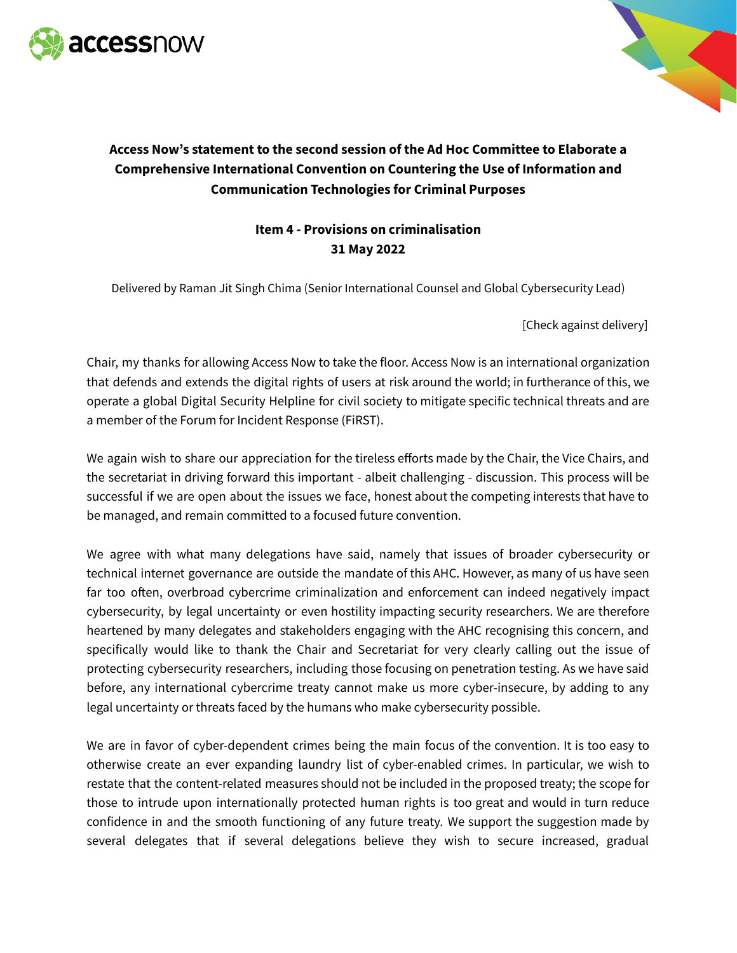



## **Access Now's statement to the second session of the Ad Hoc Committee to Elaborate a Comprehensive International Convention on Countering the Use of Information and Communication Technologies for Criminal Purposes**

## **Item 4 - Provisions on criminalisation 31 May 2022**

Delivered by Raman Jit Singh Chima (Senior International Counsel and Global Cybersecurity Lead)

[Check against delivery]

Chair, my thanks for allowing Access Now to take the floor. Access Now is an international organization that defends and extends the digital rights of users at risk around the world; in furtherance of this, we operate a global Digital Security Helpline for civil society to mitigate specific technical threats and are a member of the Forum for Incident Response (FiRST).

We again wish to share our appreciation for the tireless efforts made by the Chair, the Vice Chairs, and the secretariat in driving forward this important - albeit challenging - discussion. This process will be successful if we are open about the issues we face, honest about the competing interests that have to be managed, and remain committed to a focused future convention.

We agree with what many delegations have said, namely that issues of broader cybersecurity or technical internet governance are outside the mandate of this AHC. However, as many of us have seen far too often, overbroad cybercrime criminalization and enforcement can indeed negatively impact cybersecurity, by legal uncertainty or even hostility impacting security researchers. We are therefore heartened by many delegates and stakeholders engaging with the AHC recognising this concern, and specifically would like to thank the Chair and Secretariat for very clearly calling out the issue of protecting cybersecurity researchers, including those focusing on penetration testing. As we have said before, any international cybercrime treaty cannot make us more cyber-insecure, by adding to any legal uncertainty or threats faced by the humans who make cybersecurity possible.

We are in favor of cyber-dependent crimes being the main focus of the convention. It is too easy to otherwise create an ever expanding laundry list of cyber-enabled crimes. In particular, we wish to restate that the content-related measures should not be included in the proposed treaty; the scope for those to intrude upon internationally protected human rights is too great and would in turn reduce confidence in and the smooth functioning of any future treaty. We support the suggestion made by several delegates that if several delegations believe they wish to secure increased, gradual